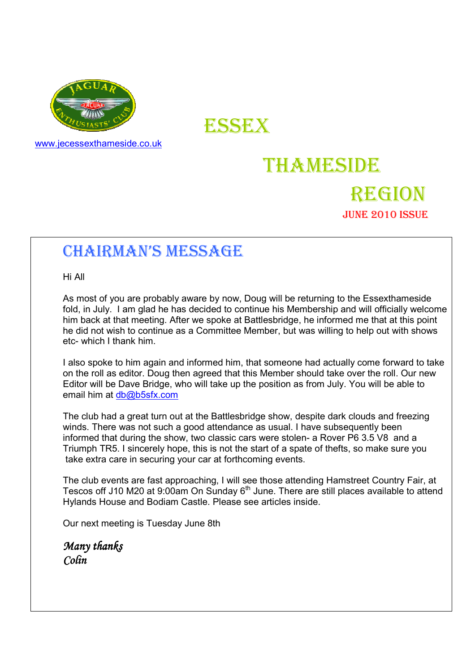

www.jecessexthameside.co.uk

ESSEX

# THAMESIDE

### REGION JUNE 2010 ISSUE

## CHAIRMAN'S MESSAGE

Hi All

 As most of you are probably aware by now, Doug will be returning to the Essexthameside fold, in July. I am glad he has decided to continue his Membership and will officially welcome him back at that meeting. After we spoke at Battlesbridge, he informed me that at this point he did not wish to continue as a Committee Member, but was willing to help out with shows etc- which I thank him.

 I also spoke to him again and informed him, that someone had actually come forward to take on the roll as editor. Doug then agreed that this Member should take over the roll. Our new Editor will be Dave Bridge, who will take up the position as from July. You will be able to email him at db@b5sfx.com

 The club had a great turn out at the Battlesbridge show, despite dark clouds and freezing winds. There was not such a good attendance as usual. I have subsequently been informed that during the show, two classic cars were stolen- a Rover P6 3.5 V8 and a Triumph TR5. I sincerely hope, this is not the start of a spate of thefts, so make sure you take extra care in securing your car at forthcoming events.

 The club events are fast approaching, I will see those attending Hamstreet Country Fair, at The state of this are next approximiting, I min see answering framework country I and the Tescos off J10 M20 at 9:00am On Sunday 6<sup>th</sup> June. There are still places available to attend Hylands House and Bodiam Castle. Please see articles inside.

Our next meeting is Tuesday June 8th

Many thanks Colin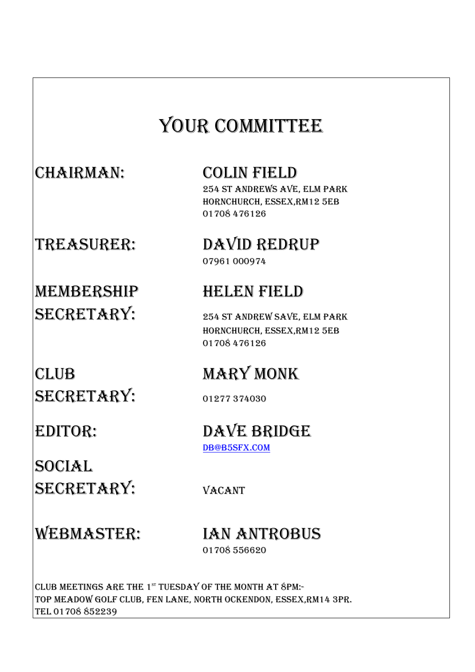# YOUR COMMITTEE

## CHAIRMAN: COLIN FIELD

 254 ST ANDREWS AVE, ELM PARK HORNCHURCH, ESSEX,RM12 5EB 01708 476126

TREASURER: DAVID REDRUP 07961 000974

# MEMBERSHIP HELEN FIELD SECRETARY: 254 ST ANDREW SAVE, ELM PARK

# CLUB MARY MONK SECRETARY: 01277 374030

SOCIAL SECRETARY: VACANT

 HORNCHURCH, ESSEX,RM12 5EB 01708 476126

### EDITOR: DAVE BRIDGE DB@B5SFX.COM

# WEBMASTER: IAN ANTROBUS

01708 556620

CLUB MEETINGS ARE THE  $1^{st}$  TUESDAY OF THE MONTH AT  $8$ PM:-TOP MEADOW GOLF CLUB, FEN LANE, NORTH OCKENDON, ESSEX,RM14 3PR. TEL 01708 852239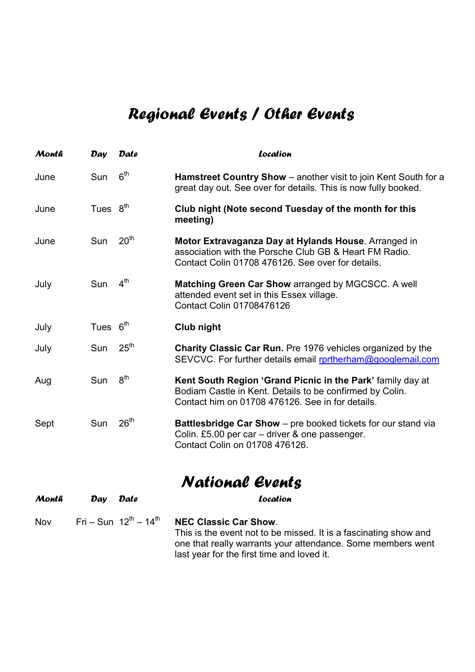# Regional Events / Other Events

| Month | Day        | <b>Date</b>      | Location                                                                                                                                                                   |
|-------|------------|------------------|----------------------------------------------------------------------------------------------------------------------------------------------------------------------------|
| June  | Sun        | 6 <sup>th</sup>  | Hamstreet Country Show - another visit to join Kent South for a<br>great day out. See over for details. This is now fully booked.                                          |
| June  | Tues $8th$ |                  | Club night (Note second Tuesday of the month for this<br>meeting)                                                                                                          |
| June  | Sun        | 20 <sup>th</sup> | Motor Extravaganza Day at Hylands House. Arranged in<br>association with the Porsche Club GB & Heart FM Radio.<br>Contact Colin 01708 476126. See over for details.        |
| July  | Sun        | 4 <sup>th</sup>  | <b>Matching Green Car Show arranged by MGCSCC. A well</b><br>attended event set in this Essex village.<br>Contact Colin 01708476126                                        |
| July  | Tues $6th$ |                  | Club night                                                                                                                                                                 |
| July  | Sun        | 25 <sup>th</sup> | <b>Charity Classic Car Run.</b> Pre 1976 vehicles organized by the<br>SEVCVC. For further details email rortherham@googlemail.com                                          |
| Aug   | Sun        | 8 <sup>th</sup>  | Kent South Region 'Grand Picnic in the Park' family day at<br>Bodiam Castle in Kent. Details to be confirmed by Colin.<br>Contact him on 01708 476126. See in for details. |
| Sept  | Sun        | 26 <sup>th</sup> | Battlesbridge Car Show - pre booked tickets for our stand via<br>Colin. £5.00 per car - driver & one passenger.<br>Contact Colin on 01708 476126.                          |

National Events

| Month | Date<br>Dav                                   | Location                                                                                                                                                                                                      |
|-------|-----------------------------------------------|---------------------------------------------------------------------------------------------------------------------------------------------------------------------------------------------------------------|
| Nov   | Fri – Sun $12^{\text{th}}$ – 14 <sup>th</sup> | <b>NEC Classic Car Show.</b><br>This is the event not to be missed. It is a fascinating show and<br>one that really warrants your attendance. Some members went<br>last year for the first time and loved it. |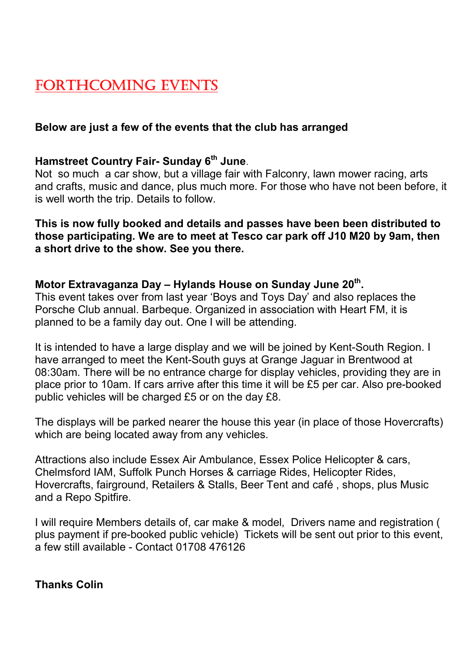### FORTHCOMING EVENTS

### Below are just a few of the events that the club has arranged

#### Hamstreet Country Fair- Sunday 6<sup>th</sup> June.

Not so much a car show, but a village fair with Falconry, lawn mower racing, arts and crafts, music and dance, plus much more. For those who have not been before, it is well worth the trip. Details to follow.

This is now fully booked and details and passes have been been distributed to those participating. We are to meet at Tesco car park off J10 M20 by 9am, then a short drive to the show. See you there.

#### Motor Extravaganza Day – Hylands House on Sunday June 20<sup>th</sup>.

This event takes over from last year 'Boys and Toys Day' and also replaces the Porsche Club annual. Barbeque. Organized in association with Heart FM, it is planned to be a family day out. One I will be attending.

It is intended to have a large display and we will be joined by Kent-South Region. I have arranged to meet the Kent-South guys at Grange Jaguar in Brentwood at 08:30am. There will be no entrance charge for display vehicles, providing they are in place prior to 10am. If cars arrive after this time it will be £5 per car. Also pre-booked public vehicles will be charged £5 or on the day £8.

The displays will be parked nearer the house this year (in place of those Hovercrafts) which are being located away from any vehicles.

Attractions also include Essex Air Ambulance, Essex Police Helicopter & cars, Chelmsford IAM, Suffolk Punch Horses & carriage Rides, Helicopter Rides, Hovercrafts, fairground, Retailers & Stalls, Beer Tent and café , shops, plus Music and a Repo Spitfire.

I will require Members details of, car make & model, Drivers name and registration ( plus payment if pre-booked public vehicle) Tickets will be sent out prior to this event, a few still available - Contact 01708 476126

Thanks Colin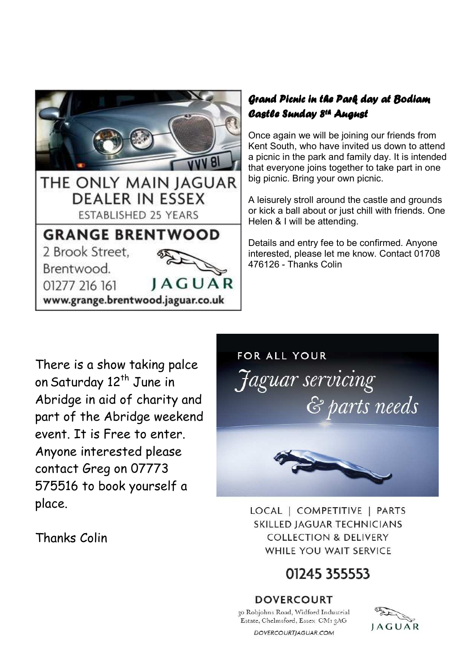

### Grand Picnic in the Park day at Bodiam Castle Sunday 8<sup>th</sup> August

Once again we will be joining our friends from Kent South, who have invited us down to attend a picnic in the park and family day. It is intended that everyone joins together to take part in one big picnic. Bring your own picnic.

A leisurely stroll around the castle and grounds or kick a ball about or just chill with friends. One Helen & I will be attending.

Details and entry fee to be confirmed. Anyone interested, please let me know. Contact 01708 476126 - Thanks Colin

There is a show taking palce on Saturday 12<sup>th</sup> June in Abridge in aid of charity and part of the Abridge weekend event. It is Free to enter. Anyone interested please contact Greg on 07773 575516 to book yourself a place.

Thanks Colin



LOCAL | COMPETITIVE | PARTS **SKILLED IAGUAR TECHNICIANS COLLECTION & DELIVERY** WHILE YOU WAIT SERVICE

## 01245 355553

### **DOVERCOURT**

30 Robjohns Road, Widford Industrial Estate, Chelmsford, Essex CMI 3AG DOVERCOURTJAGUAR.COM